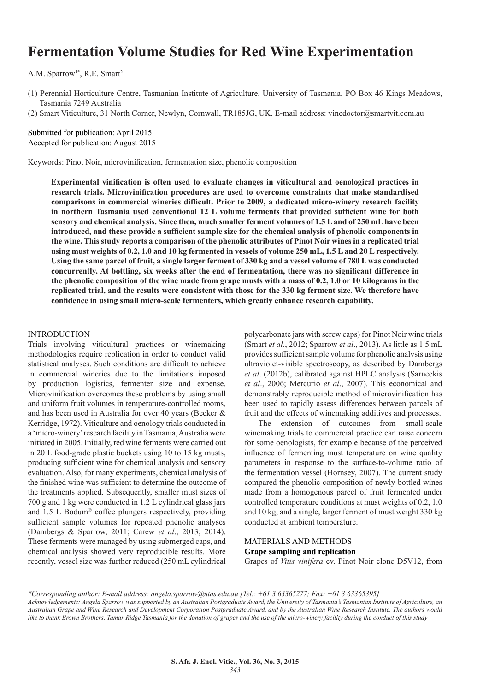# **Fermentation Volume Studies for Red Wine Experimentation**

A.M. Sparrow<sup>1\*</sup>, R.E. Smart<sup>2</sup>

(1) Perennial Horticulture Centre, Tasmanian Institute of Agriculture, University of Tasmania, PO Box 46 Kings Meadows, Tasmania 7249 Australia

(2) Smart Viticulture, 31 North Corner, Newlyn, Cornwall, TR185JG, UK. E-mail address: vinedoctor@smartvit.com.au

Submitted for publication: April 2015 Accepted for publication: August 2015

Keywords: Pinot Noir, microvinification, fermentation size, phenolic composition

**Experimental vinification is often used to evaluate changes in viticultural and oenological practices in research trials. Microvinification procedures are used to overcome constraints that make standardised comparisons in commercial wineries difficult. Prior to 2009, a dedicated micro-winery research facility in northern Tasmania used conventional 12 L volume ferments that provided sufficient wine for both sensory and chemical analysis. Since then, much smaller ferment volumes of 1.5 L and of 250 mL have been introduced, and these provide a sufficient sample size for the chemical analysis of phenolic components in the wine. This study reports a comparison of the phenolic attributes of Pinot Noir wines in a replicated trial using must weights of 0.2, 1.0 and 10 kg fermented in vessels of volume 250 mL, 1.5 L and 20 L respectively. Using the same parcel of fruit, a single larger ferment of 330 kg and a vessel volume of 780 L was conducted concurrently. At bottling, six weeks after the end of fermentation, there was no significant difference in the phenolic composition of the wine made from grape musts with a mass of 0.2, 1.0 or 10 kilograms in the replicated trial, and the results were consistent with those for the 330 kg ferment size. We therefore have confidence in using small micro-scale fermenters, which greatly enhance research capability.**

#### INTRODUCTION

Trials involving viticultural practices or winemaking methodologies require replication in order to conduct valid statistical analyses. Such conditions are difficult to achieve in commercial wineries due to the limitations imposed by production logistics, fermenter size and expense. Microvinification overcomes these problems by using small and uniform fruit volumes in temperature-controlled rooms, and has been used in Australia for over 40 years (Becker & Kerridge, 1972). Viticulture and oenology trials conducted in a 'micro-winery' research facility in Tasmania, Australia were initiated in 2005. Initially, red wine ferments were carried out in 20 L food-grade plastic buckets using 10 to 15 kg musts, producing sufficient wine for chemical analysis and sensory evaluation. Also, for many experiments, chemical analysis of the finished wine was sufficient to determine the outcome of the treatments applied. Subsequently, smaller must sizes of 700 g and 1 kg were conducted in 1.2 L cylindrical glass jars and 1.5 L Bodum® coffee plungers respectively, providing sufficient sample volumes for repeated phenolic analyses (Dambergs & Sparrow, 2011; Carew *et al*., 2013; 2014). These ferments were managed by using submerged caps, and chemical analysis showed very reproducible results. More recently, vessel size was further reduced (250 mL cylindrical

polycarbonate jars with screw caps) for Pinot Noir wine trials (Smart *et al*., 2012; Sparrow *et al*., 2013). As little as 1.5 mL provides sufficient sample volume for phenolic analysis using ultraviolet-visible spectroscopy, as described by Dambergs *et al*. (2012b), calibrated against HPLC analysis (Sarneckis *et al*., 2006; Mercurio *et al*., 2007). This economical and demonstrably reproducible method of microvinification has been used to rapidly assess differences between parcels of fruit and the effects of winemaking additives and processes.

The extension of outcomes from small-scale winemaking trials to commercial practice can raise concern for some oenologists, for example because of the perceived influence of fermenting must temperature on wine quality parameters in response to the surface-to-volume ratio of the fermentation vessel (Hornsey, 2007). The current study compared the phenolic composition of newly bottled wines made from a homogenous parcel of fruit fermented under controlled temperature conditions at must weights of 0.2, 1.0 and 10 kg, and a single, larger ferment of must weight 330 kg conducted at ambient temperature.

# MATERIALS AND METHODS **Grape sampling and replication**

Grapes of *Vitis vinifera* cv. Pinot Noir clone D5V12, from

*<sup>\*</sup>Corresponding author: E-mail address: angela.sparrow@utas.edu.au [Tel.: +61 3 63365277; Fax: +61 3 63365395] Acknowledgements: Angela Sparrow was supported by an Australian Postgraduate Award, the University of Tasmania's Tasmanian Institute of Agriculture, an Australian Grape and Wine Research and Development Corporation Postgraduate Award, and by the Australian Wine Research Institute. The authors would like to thank Brown Brothers, Tamar Ridge Tasmania for the donation of grapes and the use of the micro-winery facility during the conduct of this study*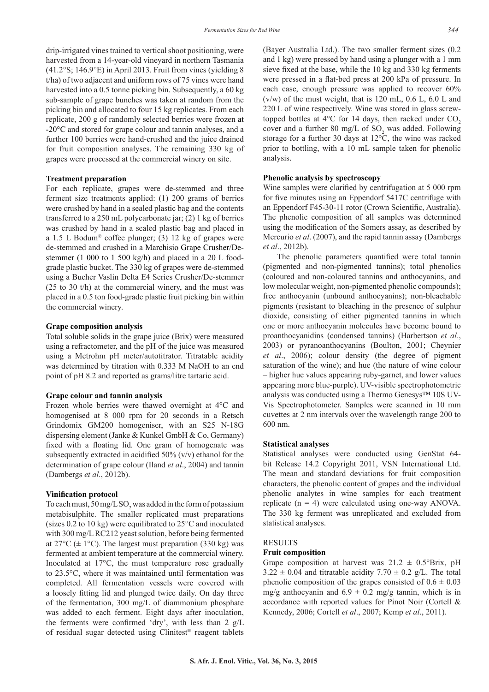drip-irrigated vines trained to vertical shoot positioning, were harvested from a 14-year-old vineyard in northern Tasmania  $(41.2°S; 146.9°E)$  in April 2013. Fruit from vines (yielding 8) t/ha) of two adjacent and uniform rows of 75 vines were hand harvested into a 0.5 tonne picking bin. Subsequently, a 60 kg sub-sample of grape bunches was taken at random from the picking bin and allocated to four 15 kg replicates. From each replicate, 200 g of randomly selected berries were frozen at -20°C and stored for grape colour and tannin analyses, and a further 100 berries were hand-crushed and the juice drained for fruit composition analyses. The remaining 330 kg of grapes were processed at the commercial winery on site.

#### **Treatment preparation**

For each replicate, grapes were de-stemmed and three ferment size treatments applied: (1) 200 grams of berries were crushed by hand in a sealed plastic bag and the contents transferred to a 250 mL polycarbonate jar; (2) 1 kg of berries was crushed by hand in a sealed plastic bag and placed in a 1.5 L Bodum<sup>®</sup> coffee plunger; (3) 12 kg of grapes were de-stemmed and crushed in a Marchisio Grape Crusher/Destemmer (1 000 to 1 500 kg/h) and placed in a 20 L foodgrade plastic bucket. The 330 kg of grapes were de-stemmed using a Bucher Vaslin Delta E4 Series Crusher/De-stemmer (25 to 30 t/h) at the commercial winery, and the must was placed in a 0.5 ton food-grade plastic fruit picking bin within the commercial winery.

#### **Grape composition analysis**

Total soluble solids in the grape juice (Brix) were measured using a refractometer, and the pH of the juice was measured using a Metrohm pH meter/autotitrator. Titratable acidity was determined by titration with 0.333 M NaOH to an end point of pH 8.2 and reported as grams/litre tartaric acid.

### **Grape colour and tannin analysis**

Frozen whole berries were thawed overnight at 4°C and homogenised at 8 000 rpm for 20 seconds in a Retsch Grindomix GM200 homogeniser, with an S25 N-18G dispersing element (Janke & Kunkel GmbH & Co, Germany) fixed with a floating lid. One gram of homogenate was subsequently extracted in acidified 50% (v/v) ethanol for the determination of grape colour (Iland *et al*., 2004) and tannin (Dambergs *et al*., 2012b).

#### **Vinification protocol**

To each must,  $50 \,\text{mg/L SO}_2$  was added in the form of potassium metabisulphite. The smaller replicated must preparations (sizes 0.2 to 10 kg) were equilibrated to 25°C and inoculated with 300 mg/L RC212 yeast solution, before being fermented at  $27^{\circ}$ C ( $\pm$  1<sup>o</sup>C). The largest must preparation (330 kg) was fermented at ambient temperature at the commercial winery. Inoculated at 17°C, the must temperature rose gradually to 23.5°C, where it was maintained until fermentation was completed. All fermentation vessels were covered with a loosely fitting lid and plunged twice daily. On day three of the fermentation, 300 mg/L of diammonium phosphate was added to each ferment. Eight days after inoculation, the ferments were confirmed 'dry', with less than 2 g/L of residual sugar detected using Clinitest® reagent tablets

(Bayer Australia Ltd.). The two smaller ferment sizes (0.2 and 1 kg) were pressed by hand using a plunger with a 1 mm sieve fixed at the base, while the 10 kg and 330 kg ferments were pressed in a flat-bed press at 200 kPa of pressure. In each case, enough pressure was applied to recover 60%  $(v/w)$  of the must weight, that is 120 mL, 0.6 L, 6.0 L and 220 L of wine respectively. Wine was stored in glass screwtopped bottles at  $4^{\circ}$ C for 14 days, then racked under CO<sub>2</sub> cover and a further 80 mg/L of  $SO_2$  was added. Following storage for a further 30 days at  $12^{\circ}\text{C}$ , the wine was racked prior to bottling, with a 10 mL sample taken for phenolic analysis.

#### **Phenolic analysis by spectroscopy**

Wine samples were clarified by centrifugation at 5 000 rpm for five minutes using an Eppendorf 5417C centrifuge with an Eppendorf F45-30-11 rotor (Crown Scientific, Australia). The phenolic composition of all samples was determined using the modification of the Somers assay, as described by Mercurio *et al*. (2007), and the rapid tannin assay (Dambergs *et al*., 2012b).

The phenolic parameters quantified were total tannin (pigmented and non-pigmented tannins); total phenolics (coloured and non-coloured tannins and anthocyanins, and low molecular weight, non-pigmented phenolic compounds); free anthocyanin (unbound anthocyanins); non-bleachable pigments (resistant to bleaching in the presence of sulphur dioxide, consisting of either pigmented tannins in which one or more anthocyanin molecules have become bound to proanthocyanidins (condensed tannins) (Harbertson *et al*., 2003) or pyranoanthocyanins (Boulton, 2001; Cheynier *et al*., 2006); colour density (the degree of pigment saturation of the wine); and hue (the nature of wine colour – higher hue values appearing ruby-garnet, and lower values appearing more blue-purple). UV-visible spectrophotometric analysis was conducted using a Thermo Genesys™ 10S UV-Vis Spectrophotometer. Samples were scanned in 10 mm cuvettes at 2 nm intervals over the wavelength range 200 to 600 nm.

#### **Statistical analyses**

Statistical analyses were conducted using GenStat 64 bit Release 14.2 Copyright 2011, VSN International Ltd. The mean and standard deviations for fruit composition characters, the phenolic content of grapes and the individual phenolic analytes in wine samples for each treatment replicate  $(n = 4)$  were calculated using one-way ANOVA. The 330 kg ferment was unreplicated and excluded from statistical analyses.

#### **RESULTS**

### **Fruit composition**

Grape composition at harvest was  $21.2 \pm 0.5$ °Brix, pH  $3.22 \pm 0.04$  and titratable acidity  $7.70 \pm 0.2$  g/L. The total phenolic composition of the grapes consisted of  $0.6 \pm 0.03$ mg/g anthocyanin and  $6.9 \pm 0.2$  mg/g tannin, which is in accordance with reported values for Pinot Noir (Cortell & Kennedy, 2006; Cortell *et al*., 2007; Kemp *et al*., 2011).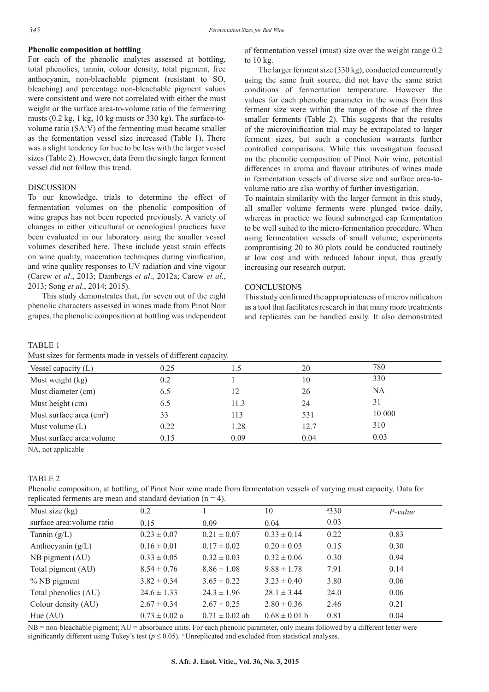## **Phenolic composition at bottling**

For each of the phenolic analytes assessed at bottling, total phenolics, tannin, colour density, total pigment, free anthocyanin, non-bleachable pigment (resistant to  $SO<sub>2</sub>$ ) bleaching) and percentage non-bleachable pigment values were consistent and were not correlated with either the must weight or the surface area-to-volume ratio of the fermenting musts (0.2 kg, 1 kg, 10 kg musts or 330 kg). The surface-tovolume ratio (SA:V) of the fermenting must became smaller as the fermentation vessel size increased (Table 1). There was a slight tendency for hue to be less with the larger vessel sizes (Table 2). However, data from the single larger ferment vessel did not follow this trend.

# **DISCUSSION**

To our knowledge, trials to determine the effect of fermentation volumes on the phenolic composition of wine grapes has not been reported previously. A variety of changes in either viticultural or oenological practices have been evaluated in our laboratory using the smaller vessel volumes described here. These include yeast strain effects on wine quality, maceration techniques during vinification, and wine quality responses to UV radiation and vine vigour (Carew *et al*., 2013; Dambergs *et al*., 2012a; Carew *et al*., 2013; Song *et al*., 2014; 2015).

This study demonstrates that, for seven out of the eight phenolic characters assessed in wines made from Pinot Noir grapes, the phenolic composition at bottling was independent

## TABLE 1

Must sizes for ferments made in vessels of different capacity.

| of fermentation vessel (must) size over the weight range 0.2 |  |  |  |  |
|--------------------------------------------------------------|--|--|--|--|
| to $10 \text{ kg}$ .                                         |  |  |  |  |

The larger ferment size (330 kg), conducted concurrently using the same fruit source, did not have the same strict conditions of fermentation temperature. However the values for each phenolic parameter in the wines from this ferment size were within the range of those of the three smaller ferments (Table 2). This suggests that the results of the microvinification trial may be extrapolated to larger ferment sizes, but such a conclusion warrants further controlled comparisons. While this investigation focused on the phenolic composition of Pinot Noir wine, potential differences in aroma and flavour attributes of wines made in fermentation vessels of diverse size and surface area-tovolume ratio are also worthy of further investigation.

To maintain similarity with the larger ferment in this study, all smaller volume ferments were plunged twice daily, whereas in practice we found submerged cap fermentation to be well suited to the micro-fermentation procedure. When using fermentation vessels of small volume, experiments compromising 20 to 80 plots could be conducted routinely at low cost and with reduced labour input, thus greatly increasing our research output.

# **CONCLUSIONS**

This study confirmed the appropriateness of microvinification as a tool that facilitates research in that many more treatments and replicates can be handled easily. It also demonstrated

| <u>MUST SIZES TOT TELLICIUS HIAUC III VESSEIS OF UTHEICHT CAPACITY.</u> |      |      |      |        |  |  |
|-------------------------------------------------------------------------|------|------|------|--------|--|--|
| Vessel capacity $(L)$                                                   | 0.25 |      | 20   | 780    |  |  |
| Must weight (kg)                                                        | 0.2  |      | 10   | 330    |  |  |
| Must diameter (cm)                                                      | 6.5  |      | 26   | NA     |  |  |
| Must height (cm)                                                        | 6.5  | 11.3 | 24   | 31     |  |  |
| Must surface area $\text{(cm}^2\text{)}$                                | 33   | 113  | 531  | 10 000 |  |  |
| Must volume $(L)$                                                       | 0.22 | 1.28 | 12.7 | 310    |  |  |
| Must surface area: volume                                               | 0.15 | 0.09 | 0.04 | 0.03   |  |  |

NA, not applicable

### TABLE 2

Phenolic composition, at bottling, of Pinot Noir wine made from fermentation vessels of varying must capacity. Data for replicated ferments are mean and standard deviation  $(n = 4)$ .

| Must size $(kg)$           | 0.2               |                    | 10                | 330  | $P-value$ |
|----------------------------|-------------------|--------------------|-------------------|------|-----------|
| surface area: volume ratio | 0.15              | 0.09               | 0.04              | 0.03 |           |
| Tannin $(g/L)$             | $0.23 \pm 0.07$   | $0.21 \pm 0.07$    | $0.33 \pm 0.14$   | 0.22 | 0.83      |
| Anthocyanin $(g/L)$        | $0.16 \pm 0.01$   | $0.17 \pm 0.02$    | $0.20 \pm 0.03$   | 0.15 | 0.30      |
| NB pigment (AU)            | $0.33 \pm 0.05$   | $0.32 \pm 0.03$    | $0.32 \pm 0.06$   | 0.30 | 0.94      |
| Total pigment (AU)         | $8.54 \pm 0.76$   | $8.86 \pm 1.08$    | $9.88 \pm 1.78$   | 7.91 | 0.14      |
| $%$ NB pigment             | $3.82 \pm 0.34$   | $3.65 \pm 0.22$    | $3.23 \pm 0.40$   | 3.80 | 0.06      |
| Total phenolics (AU)       | $24.6 \pm 1.33$   | $24.3 \pm 1.96$    | $28.1 \pm 3.44$   | 24.0 | 0.06      |
| Colour density (AU)        | $2.67 \pm 0.34$   | $2.67 \pm 0.25$    | $2.80 \pm 0.36$   | 2.46 | 0.21      |
| Hue $(AU)$                 | $0.73 \pm 0.02$ a | $0.71 \pm 0.02$ ab | $0.68 \pm 0.01$ b | 0.81 | 0.04      |

 $NB =$  non-bleachable pigment;  $AU =$  absorbance units. For each phenolic parameter, only means followed by a different letter were significantly different using Tukey's test ( $p \le 0.05$ ). <sup>a</sup> Unreplicated and excluded from statistical analyses.